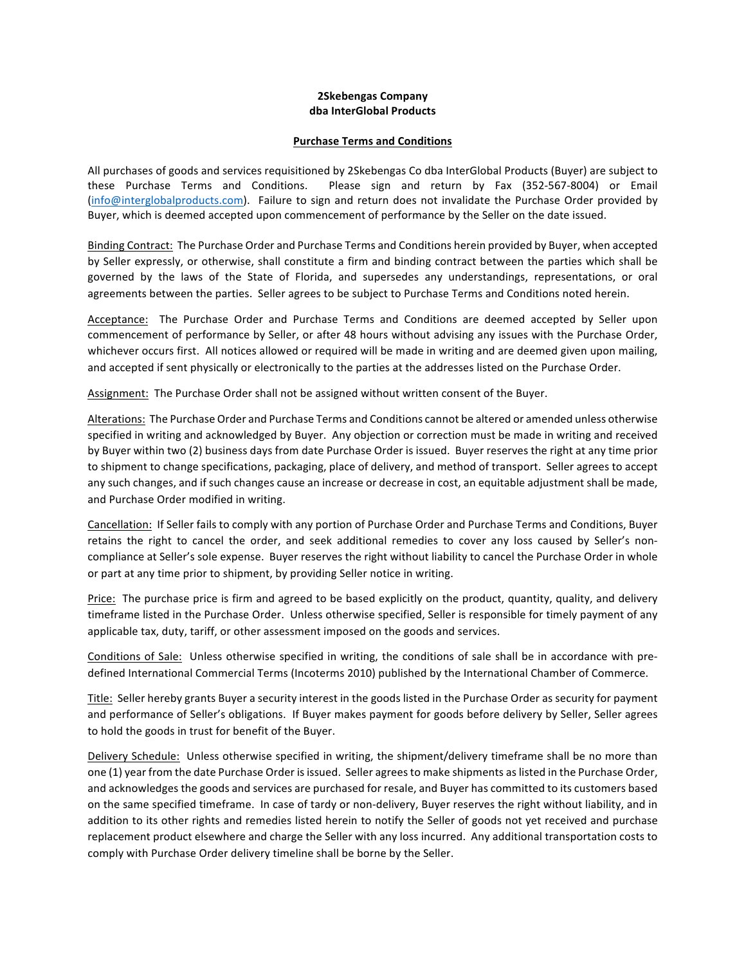## **2Skebengas Company dba InterGlobal Products**

## **Purchase Terms and Conditions**

All purchases of goods and services requisitioned by 2Skebengas Co dba InterGlobal Products (Buyer) are subject to these Purchase Terms and Conditions. Please sign and return by Fax (352-567-8004) or Email (info@interglobalproducts.com). Failure to sign and return does not invalidate the Purchase Order provided by Buyer, which is deemed accepted upon commencement of performance by the Seller on the date issued.

Binding Contract: The Purchase Order and Purchase Terms and Conditions herein provided by Buyer, when accepted by Seller expressly, or otherwise, shall constitute a firm and binding contract between the parties which shall be governed by the laws of the State of Florida, and supersedes any understandings, representations, or oral agreements between the parties. Seller agrees to be subject to Purchase Terms and Conditions noted herein.

Acceptance: The Purchase Order and Purchase Terms and Conditions are deemed accepted by Seller upon commencement of performance by Seller, or after 48 hours without advising any issues with the Purchase Order, whichever occurs first. All notices allowed or required will be made in writing and are deemed given upon mailing, and accepted if sent physically or electronically to the parties at the addresses listed on the Purchase Order.

Assignment: The Purchase Order shall not be assigned without written consent of the Buyer.

Alterations: The Purchase Order and Purchase Terms and Conditions cannot be altered or amended unless otherwise specified in writing and acknowledged by Buyer. Any objection or correction must be made in writing and received by Buyer within two (2) business days from date Purchase Order is issued. Buyer reserves the right at any time prior to shipment to change specifications, packaging, place of delivery, and method of transport. Seller agrees to accept any such changes, and if such changes cause an increase or decrease in cost, an equitable adjustment shall be made, and Purchase Order modified in writing.

Cancellation: If Seller fails to comply with any portion of Purchase Order and Purchase Terms and Conditions, Buyer retains the right to cancel the order, and seek additional remedies to cover any loss caused by Seller's noncompliance at Seller's sole expense. Buyer reserves the right without liability to cancel the Purchase Order in whole or part at any time prior to shipment, by providing Seller notice in writing.

Price: The purchase price is firm and agreed to be based explicitly on the product, quantity, quality, and delivery timeframe listed in the Purchase Order. Unless otherwise specified, Seller is responsible for timely payment of any applicable tax, duty, tariff, or other assessment imposed on the goods and services.

Conditions of Sale: Unless otherwise specified in writing, the conditions of sale shall be in accordance with predefined International Commercial Terms (Incoterms 2010) published by the International Chamber of Commerce.

Title: Seller hereby grants Buyer a security interest in the goods listed in the Purchase Order as security for payment and performance of Seller's obligations. If Buyer makes payment for goods before delivery by Seller, Seller agrees to hold the goods in trust for benefit of the Buyer.

Delivery Schedule: Unless otherwise specified in writing, the shipment/delivery timeframe shall be no more than one (1) year from the date Purchase Order is issued. Seller agrees to make shipments as listed in the Purchase Order, and acknowledges the goods and services are purchased for resale, and Buyer has committed to its customers based on the same specified timeframe. In case of tardy or non-delivery, Buyer reserves the right without liability, and in addition to its other rights and remedies listed herein to notify the Seller of goods not yet received and purchase replacement product elsewhere and charge the Seller with any loss incurred. Any additional transportation costs to comply with Purchase Order delivery timeline shall be borne by the Seller.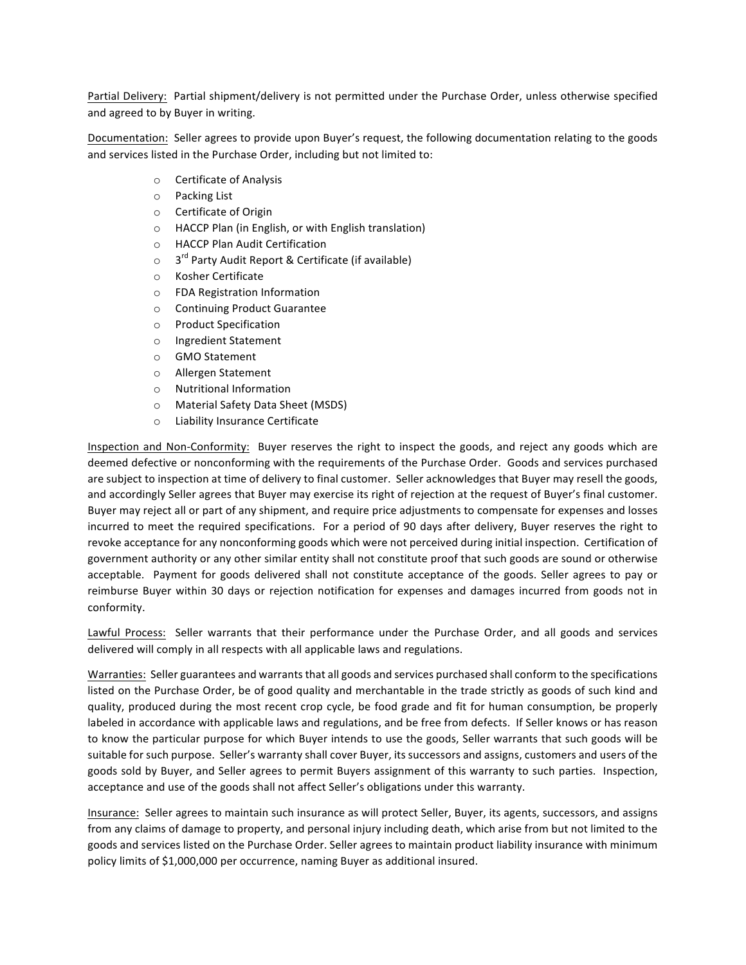Partial Delivery: Partial shipment/delivery is not permitted under the Purchase Order, unless otherwise specified and agreed to by Buyer in writing.

Documentation: Seller agrees to provide upon Buyer's request, the following documentation relating to the goods and services listed in the Purchase Order, including but not limited to:

- o Certificate of Analysis
- $\circ$  Packing List
- o Certificate of Origin
- $\circ$  HACCP Plan (in English, or with English translation)
- o HACCP Plan Audit Certification
- $\circ$  3<sup>rd</sup> Party Audit Report & Certificate (if available)
- o Kosher Certificate
- o FDA Registration Information
- o Continuing Product Guarantee
- o Product Specification
- o Ingredient Statement
- o GMO Statement
- o Allergen Statement
- o Nutritional Information
- o Material Safety Data Sheet (MSDS)
- o Liability Insurance Certificate

Inspection and Non-Conformity: Buyer reserves the right to inspect the goods, and reject any goods which are deemed defective or nonconforming with the requirements of the Purchase Order. Goods and services purchased are subject to inspection at time of delivery to final customer. Seller acknowledges that Buyer may resell the goods, and accordingly Seller agrees that Buyer may exercise its right of rejection at the request of Buyer's final customer. Buyer may reject all or part of any shipment, and require price adjustments to compensate for expenses and losses incurred to meet the required specifications. For a period of 90 days after delivery, Buyer reserves the right to revoke acceptance for any nonconforming goods which were not perceived during initial inspection. Certification of government authority or any other similar entity shall not constitute proof that such goods are sound or otherwise acceptable. Payment for goods delivered shall not constitute acceptance of the goods. Seller agrees to pay or reimburse Buyer within 30 days or rejection notification for expenses and damages incurred from goods not in conformity. 

Lawful Process: Seller warrants that their performance under the Purchase Order, and all goods and services delivered will comply in all respects with all applicable laws and regulations.

Warranties: Seller guarantees and warrants that all goods and services purchased shall conform to the specifications listed on the Purchase Order, be of good quality and merchantable in the trade strictly as goods of such kind and quality, produced during the most recent crop cycle, be food grade and fit for human consumption, be properly labeled in accordance with applicable laws and regulations, and be free from defects. If Seller knows or has reason to know the particular purpose for which Buyer intends to use the goods, Seller warrants that such goods will be suitable for such purpose. Seller's warranty shall cover Buyer, its successors and assigns, customers and users of the goods sold by Buyer, and Seller agrees to permit Buyers assignment of this warranty to such parties. Inspection, acceptance and use of the goods shall not affect Seller's obligations under this warranty.

Insurance: Seller agrees to maintain such insurance as will protect Seller, Buyer, its agents, successors, and assigns from any claims of damage to property, and personal injury including death, which arise from but not limited to the goods and services listed on the Purchase Order. Seller agrees to maintain product liability insurance with minimum policy limits of \$1,000,000 per occurrence, naming Buyer as additional insured.